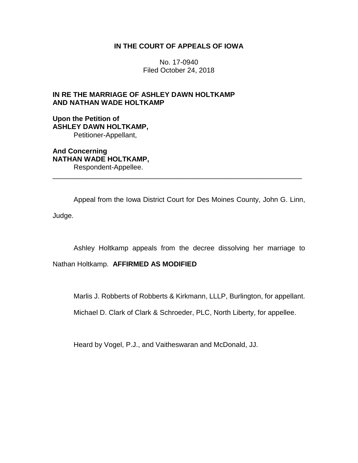# **IN THE COURT OF APPEALS OF IOWA**

No. 17-0940 Filed October 24, 2018

# **IN RE THE MARRIAGE OF ASHLEY DAWN HOLTKAMP AND NATHAN WADE HOLTKAMP**

**Upon the Petition of ASHLEY DAWN HOLTKAMP,** Petitioner-Appellant,

**And Concerning NATHAN WADE HOLTKAMP,** Respondent-Appellee.

Appeal from the Iowa District Court for Des Moines County, John G. Linn, Judge.

\_\_\_\_\_\_\_\_\_\_\_\_\_\_\_\_\_\_\_\_\_\_\_\_\_\_\_\_\_\_\_\_\_\_\_\_\_\_\_\_\_\_\_\_\_\_\_\_\_\_\_\_\_\_\_\_\_\_\_\_\_\_\_\_

Ashley Holtkamp appeals from the decree dissolving her marriage to

Nathan Holtkamp. **AFFIRMED AS MODIFIED**

Marlis J. Robberts of Robberts & Kirkmann, LLLP, Burlington, for appellant.

Michael D. Clark of Clark & Schroeder, PLC, North Liberty, for appellee.

Heard by Vogel, P.J., and Vaitheswaran and McDonald, JJ.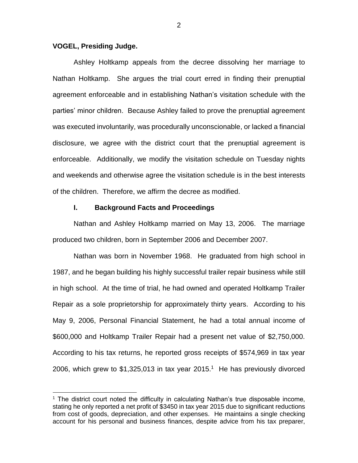## **VOGEL, Presiding Judge.**

 $\overline{a}$ 

Ashley Holtkamp appeals from the decree dissolving her marriage to Nathan Holtkamp. She argues the trial court erred in finding their prenuptial agreement enforceable and in establishing Nathan's visitation schedule with the parties' minor children. Because Ashley failed to prove the prenuptial agreement was executed involuntarily, was procedurally unconscionable, or lacked a financial disclosure, we agree with the district court that the prenuptial agreement is enforceable. Additionally, we modify the visitation schedule on Tuesday nights and weekends and otherwise agree the visitation schedule is in the best interests of the children. Therefore, we affirm the decree as modified.

### **I. Background Facts and Proceedings**

Nathan and Ashley Holtkamp married on May 13, 2006. The marriage produced two children, born in September 2006 and December 2007.

Nathan was born in November 1968. He graduated from high school in 1987, and he began building his highly successful trailer repair business while still in high school. At the time of trial, he had owned and operated Holtkamp Trailer Repair as a sole proprietorship for approximately thirty years. According to his May 9, 2006, Personal Financial Statement, he had a total annual income of \$600,000 and Holtkamp Trailer Repair had a present net value of \$2,750,000. According to his tax returns, he reported gross receipts of \$574,969 in tax year 2006, which grew to  $$1,325,013$  in tax year 2015.<sup>1</sup> He has previously divorced

 $1$  The district court noted the difficulty in calculating Nathan's true disposable income, stating he only reported a net profit of \$3450 in tax year 2015 due to significant reductions from cost of goods, depreciation, and other expenses. He maintains a single checking account for his personal and business finances, despite advice from his tax preparer,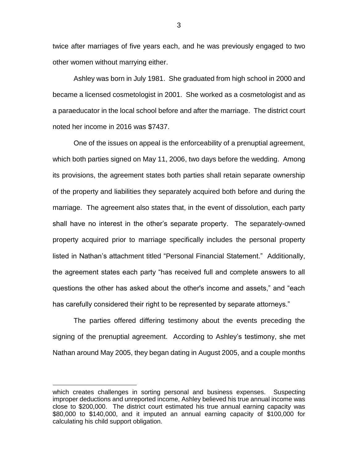twice after marriages of five years each, and he was previously engaged to two other women without marrying either.

Ashley was born in July 1981. She graduated from high school in 2000 and became a licensed cosmetologist in 2001. She worked as a cosmetologist and as a paraeducator in the local school before and after the marriage. The district court noted her income in 2016 was \$7437.

One of the issues on appeal is the enforceability of a prenuptial agreement, which both parties signed on May 11, 2006, two days before the wedding. Among its provisions, the agreement states both parties shall retain separate ownership of the property and liabilities they separately acquired both before and during the marriage. The agreement also states that, in the event of dissolution, each party shall have no interest in the other's separate property. The separately-owned property acquired prior to marriage specifically includes the personal property listed in Nathan's attachment titled "Personal Financial Statement." Additionally, the agreement states each party "has received full and complete answers to all questions the other has asked about the other's income and assets," and "each has carefully considered their right to be represented by separate attorneys."

The parties offered differing testimony about the events preceding the signing of the prenuptial agreement. According to Ashley's testimony, she met Nathan around May 2005, they began dating in August 2005, and a couple months

 $\overline{a}$ 

3

which creates challenges in sorting personal and business expenses. Suspecting improper deductions and unreported income, Ashley believed his true annual income was close to \$200,000. The district court estimated his true annual earning capacity was \$80,000 to \$140,000, and it imputed an annual earning capacity of \$100,000 for calculating his child support obligation.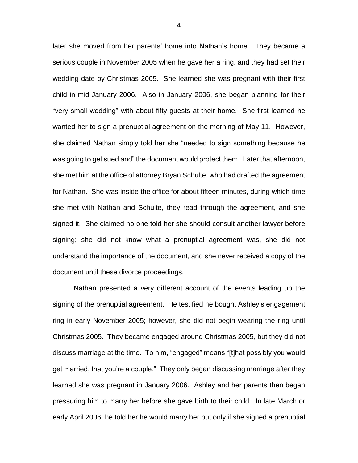later she moved from her parents' home into Nathan's home. They became a serious couple in November 2005 when he gave her a ring, and they had set their wedding date by Christmas 2005. She learned she was pregnant with their first child in mid-January 2006. Also in January 2006, she began planning for their "very small wedding" with about fifty guests at their home. She first learned he wanted her to sign a prenuptial agreement on the morning of May 11. However, she claimed Nathan simply told her she "needed to sign something because he was going to get sued and" the document would protect them. Later that afternoon, she met him at the office of attorney Bryan Schulte, who had drafted the agreement for Nathan. She was inside the office for about fifteen minutes, during which time she met with Nathan and Schulte, they read through the agreement, and she signed it. She claimed no one told her she should consult another lawyer before signing; she did not know what a prenuptial agreement was, she did not understand the importance of the document, and she never received a copy of the document until these divorce proceedings.

Nathan presented a very different account of the events leading up the signing of the prenuptial agreement. He testified he bought Ashley's engagement ring in early November 2005; however, she did not begin wearing the ring until Christmas 2005. They became engaged around Christmas 2005, but they did not discuss marriage at the time. To him, "engaged" means "[t]hat possibly you would get married, that you're a couple." They only began discussing marriage after they learned she was pregnant in January 2006. Ashley and her parents then began pressuring him to marry her before she gave birth to their child. In late March or early April 2006, he told her he would marry her but only if she signed a prenuptial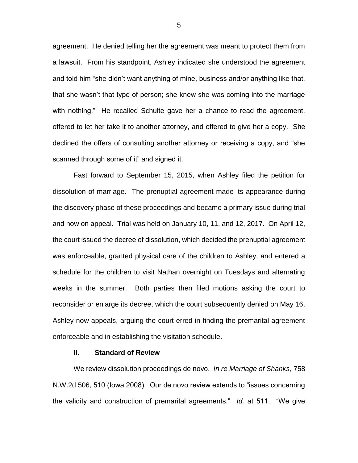agreement. He denied telling her the agreement was meant to protect them from a lawsuit. From his standpoint, Ashley indicated she understood the agreement and told him "she didn't want anything of mine, business and/or anything like that, that she wasn't that type of person; she knew she was coming into the marriage with nothing." He recalled Schulte gave her a chance to read the agreement, offered to let her take it to another attorney, and offered to give her a copy. She declined the offers of consulting another attorney or receiving a copy, and "she scanned through some of it" and signed it.

Fast forward to September 15, 2015, when Ashley filed the petition for dissolution of marriage. The prenuptial agreement made its appearance during the discovery phase of these proceedings and became a primary issue during trial and now on appeal. Trial was held on January 10, 11, and 12, 2017. On April 12, the court issued the decree of dissolution, which decided the prenuptial agreement was enforceable, granted physical care of the children to Ashley, and entered a schedule for the children to visit Nathan overnight on Tuesdays and alternating weeks in the summer. Both parties then filed motions asking the court to reconsider or enlarge its decree, which the court subsequently denied on May 16. Ashley now appeals, arguing the court erred in finding the premarital agreement enforceable and in establishing the visitation schedule.

#### **II. Standard of Review**

We review dissolution proceedings de novo. *In re Marriage of Shanks*, 758 N.W.2d 506, 510 (Iowa 2008). Our de novo review extends to "issues concerning the validity and construction of premarital agreements." *Id.* at 511. "We give

5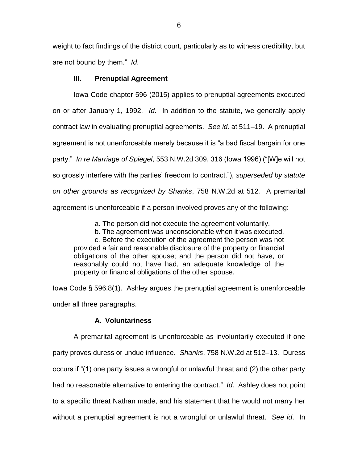weight to fact findings of the district court, particularly as to witness credibility, but are not bound by them." *Id*.

# **III. Prenuptial Agreement**

Iowa Code chapter 596 (2015) applies to prenuptial agreements executed on or after January 1, 1992. *Id*. In addition to the statute, we generally apply contract law in evaluating prenuptial agreements. *See id.* at 511–19. A prenuptial agreement is not unenforceable merely because it is "a bad fiscal bargain for one party." *In re Marriage of Spiegel*, 553 N.W.2d 309, 316 (Iowa 1996) ("[W]e will not so grossly interfere with the parties' freedom to contract."), *superseded by statute on other grounds as recognized by Shanks*, 758 N.W.2d at 512*.* A premarital agreement is unenforceable if a person involved proves any of the following:

a. The person did not execute the agreement voluntarily.

b. The agreement was unconscionable when it was executed.

c. Before the execution of the agreement the person was not provided a fair and reasonable disclosure of the property or financial obligations of the other spouse; and the person did not have, or reasonably could not have had, an adequate knowledge of the property or financial obligations of the other spouse.

Iowa Code § 596.8(1). Ashley argues the prenuptial agreement is unenforceable under all three paragraphs.

# **A. Voluntariness**

A premarital agreement is unenforceable as involuntarily executed if one party proves duress or undue influence. *Shanks*, 758 N.W.2d at 512–13. Duress occurs if "(1) one party issues a wrongful or unlawful threat and (2) the other party had no reasonable alternative to entering the contract." *Id*.Ashley does not point to a specific threat Nathan made, and his statement that he would not marry her without a prenuptial agreement is not a wrongful or unlawful threat. *See id*. In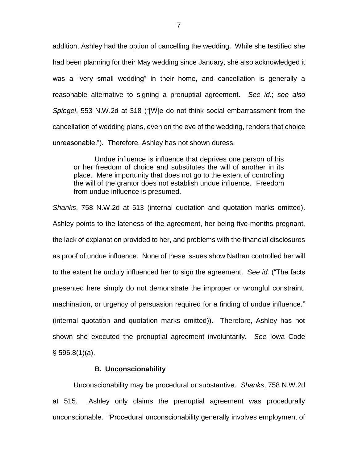addition, Ashley had the option of cancelling the wedding. While she testified she had been planning for their May wedding since January, she also acknowledged it was a "very small wedding" in their home, and cancellation is generally a reasonable alternative to signing a prenuptial agreement. *See id.*; *see also Spiegel*, 553 N.W.2d at 318 ("[W]e do not think social embarrassment from the cancellation of wedding plans, even on the eve of the wedding, renders that choice unreasonable.")*.* Therefore, Ashley has not shown duress.

Undue influence is influence that deprives one person of his or her freedom of choice and substitutes the will of another in its place. Mere importunity that does not go to the extent of controlling the will of the grantor does not establish undue influence. Freedom from undue influence is presumed.

*Shanks*, 758 N.W.2d at 513 (internal quotation and quotation marks omitted). Ashley points to the lateness of the agreement, her being five-months pregnant, the lack of explanation provided to her, and problems with the financial disclosures as proof of undue influence. None of these issues show Nathan controlled her will to the extent he unduly influenced her to sign the agreement. *See id.* ("The facts presented here simply do not demonstrate the improper or wrongful constraint, machination, or urgency of persuasion required for a finding of undue influence." (internal quotation and quotation marks omitted)). Therefore, Ashley has not shown she executed the prenuptial agreement involuntarily. *See* Iowa Code § 596.8(1)(a).

## **B. Unconscionability**

Unconscionability may be procedural or substantive. *Shanks*, 758 N.W.2d at 515. Ashley only claims the prenuptial agreement was procedurally unconscionable. "Procedural unconscionability generally involves employment of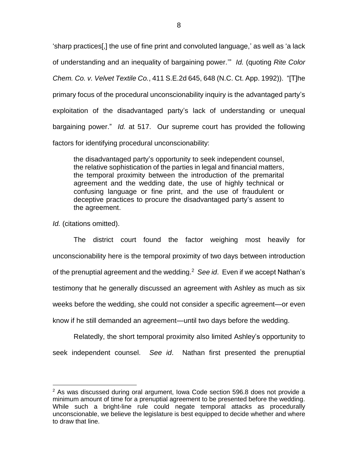'sharp practices[,] the use of fine print and convoluted language,' as well as 'a lack of understanding and an inequality of bargaining power.'" *Id.* (quoting *Rite Color Chem. Co. v. Velvet Textile Co.*, 411 S.E.2d 645, 648 (N.C. Ct. App. 1992)). "[T]he primary focus of the procedural unconscionability inquiry is the advantaged party's exploitation of the disadvantaged party's lack of understanding or unequal bargaining power." *Id.* at 517. Our supreme court has provided the following factors for identifying procedural unconscionability:

the disadvantaged party's opportunity to seek independent counsel, the relative sophistication of the parties in legal and financial matters, the temporal proximity between the introduction of the premarital agreement and the wedding date, the use of highly technical or confusing language or fine print, and the use of fraudulent or deceptive practices to procure the disadvantaged party's assent to the agreement.

*Id.* (citations omitted).

 $\overline{a}$ 

The district court found the factor weighing most heavily for unconscionability here is the temporal proximity of two days between introduction of the prenuptial agreement and the wedding.<sup>2</sup> See id. Even if we accept Nathan's testimony that he generally discussed an agreement with Ashley as much as six weeks before the wedding, she could not consider a specific agreement—or even know if he still demanded an agreement—until two days before the wedding.

Relatedly, the short temporal proximity also limited Ashley's opportunity to seek independent counsel. *See id*.Nathan first presented the prenuptial

 $2$  As was discussed during oral argument, Iowa Code section 596.8 does not provide a minimum amount of time for a prenuptial agreement to be presented before the wedding. While such a bright-line rule could negate temporal attacks as procedurally unconscionable, we believe the legislature is best equipped to decide whether and where to draw that line.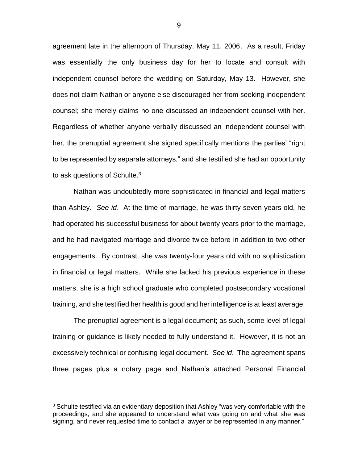agreement late in the afternoon of Thursday, May 11, 2006. As a result, Friday was essentially the only business day for her to locate and consult with independent counsel before the wedding on Saturday, May 13. However, she does not claim Nathan or anyone else discouraged her from seeking independent counsel; she merely claims no one discussed an independent counsel with her. Regardless of whether anyone verbally discussed an independent counsel with her, the prenuptial agreement she signed specifically mentions the parties' "right to be represented by separate attorneys," and she testified she had an opportunity to ask questions of Schulte. $3$ 

Nathan was undoubtedly more sophisticated in financial and legal matters than Ashley. *See id*. At the time of marriage, he was thirty-seven years old, he had operated his successful business for about twenty years prior to the marriage, and he had navigated marriage and divorce twice before in addition to two other engagements. By contrast, she was twenty-four years old with no sophistication in financial or legal matters. While she lacked his previous experience in these matters, she is a high school graduate who completed postsecondary vocational training, and she testified her health is good and her intelligence is at least average.

The prenuptial agreement is a legal document; as such, some level of legal training or guidance is likely needed to fully understand it. However, it is not an excessively technical or confusing legal document. *See id*. The agreement spans three pages plus a notary page and Nathan's attached Personal Financial

 $\overline{a}$ 

 $3$  Schulte testified via an evidentiary deposition that Ashley "was very comfortable with the proceedings, and she appeared to understand what was going on and what she was signing, and never requested time to contact a lawyer or be represented in any manner."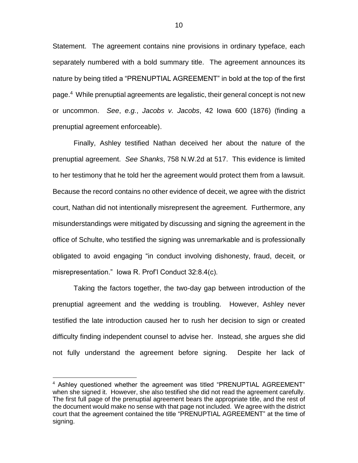Statement. The agreement contains nine provisions in ordinary typeface, each separately numbered with a bold summary title. The agreement announces its nature by being titled a "PRENUPTIAL AGREEMENT" in bold at the top of the first page. 4 While prenuptial agreements are legalistic, their general concept is not new or uncommon. *See*, *e.g.*, *Jacobs v. Jacobs*, 42 Iowa 600 (1876) (finding a prenuptial agreement enforceable).

Finally, Ashley testified Nathan deceived her about the nature of the prenuptial agreement. *See Shanks*, 758 N.W.2d at 517. This evidence is limited to her testimony that he told her the agreement would protect them from a lawsuit. Because the record contains no other evidence of deceit, we agree with the district court, Nathan did not intentionally misrepresent the agreement. Furthermore, any misunderstandings were mitigated by discussing and signing the agreement in the office of Schulte, who testified the signing was unremarkable and is professionally obligated to avoid engaging "in conduct involving dishonesty, fraud, deceit, or misrepresentation." Iowa R. Prof'l Conduct 32:8.4(c).

Taking the factors together, the two-day gap between introduction of the prenuptial agreement and the wedding is troubling. However, Ashley never testified the late introduction caused her to rush her decision to sign or created difficulty finding independent counsel to advise her. Instead, she argues she did not fully understand the agreement before signing. Despite her lack of

 $\overline{a}$ 

<sup>&</sup>lt;sup>4</sup> Ashley questioned whether the agreement was titled "PRENUPTIAL AGREEMENT" when she signed it. However, she also testified she did not read the agreement carefully. The first full page of the prenuptial agreement bears the appropriate title, and the rest of the document would make no sense with that page not included. We agree with the district court that the agreement contained the title "PRENUPTIAL AGREEMENT" at the time of signing.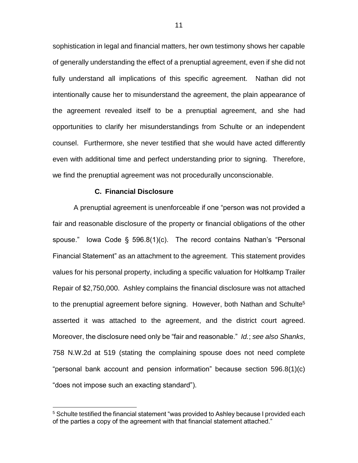sophistication in legal and financial matters, her own testimony shows her capable of generally understanding the effect of a prenuptial agreement, even if she did not fully understand all implications of this specific agreement. Nathan did not intentionally cause her to misunderstand the agreement, the plain appearance of the agreement revealed itself to be a prenuptial agreement, and she had opportunities to clarify her misunderstandings from Schulte or an independent counsel. Furthermore, she never testified that she would have acted differently even with additional time and perfect understanding prior to signing. Therefore, we find the prenuptial agreement was not procedurally unconscionable.

### **C. Financial Disclosure**

 $\overline{a}$ 

A prenuptial agreement is unenforceable if one "person was not provided a fair and reasonable disclosure of the property or financial obligations of the other spouse." Iowa Code § 596.8(1)(c). The record contains Nathan's "Personal Financial Statement" as an attachment to the agreement. This statement provides values for his personal property, including a specific valuation for Holtkamp Trailer Repair of \$2,750,000. Ashley complains the financial disclosure was not attached to the prenuptial agreement before signing. However, both Nathan and Schulte<sup>5</sup> asserted it was attached to the agreement, and the district court agreed. Moreover, the disclosure need only be "fair and reasonable." *Id.*; *see also Shanks*, 758 N.W.2d at 519 (stating the complaining spouse does not need complete "personal bank account and pension information" because section 596.8(1)(c) "does not impose such an exacting standard").

<sup>&</sup>lt;sup>5</sup> Schulte testified the financial statement "was provided to Ashley because I provided each of the parties a copy of the agreement with that financial statement attached."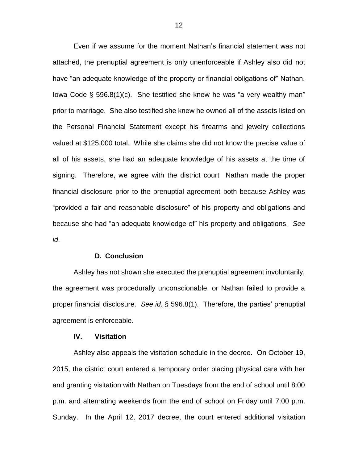Even if we assume for the moment Nathan's financial statement was not attached, the prenuptial agreement is only unenforceable if Ashley also did not have "an adequate knowledge of the property or financial obligations of" Nathan. Iowa Code § 596.8(1)(c). She testified she knew he was "a very wealthy man" prior to marriage. She also testified she knew he owned all of the assets listed on the Personal Financial Statement except his firearms and jewelry collections valued at \$125,000 total. While she claims she did not know the precise value of all of his assets, she had an adequate knowledge of his assets at the time of signing. Therefore, we agree with the district court Nathan made the proper financial disclosure prior to the prenuptial agreement both because Ashley was "provided a fair and reasonable disclosure" of his property and obligations and because she had "an adequate knowledge of" his property and obligations. *See id*.

### **D. Conclusion**

Ashley has not shown she executed the prenuptial agreement involuntarily, the agreement was procedurally unconscionable, or Nathan failed to provide a proper financial disclosure. *See id.* § 596.8(1). Therefore, the parties' prenuptial agreement is enforceable.

### **IV. Visitation**

Ashley also appeals the visitation schedule in the decree. On October 19, 2015, the district court entered a temporary order placing physical care with her and granting visitation with Nathan on Tuesdays from the end of school until 8:00 p.m. and alternating weekends from the end of school on Friday until 7:00 p.m. Sunday. In the April 12, 2017 decree, the court entered additional visitation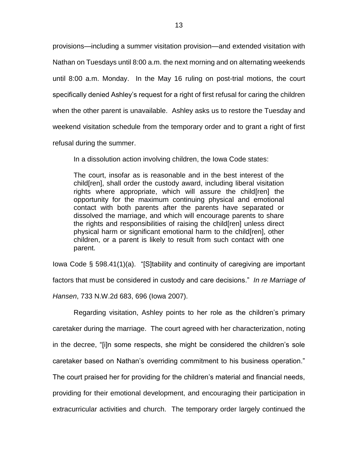provisions—including a summer visitation provision—and extended visitation with Nathan on Tuesdays until 8:00 a.m. the next morning and on alternating weekends until 8:00 a.m. Monday. In the May 16 ruling on post-trial motions, the court specifically denied Ashley's request for a right of first refusal for caring the children when the other parent is unavailable. Ashley asks us to restore the Tuesday and weekend visitation schedule from the temporary order and to grant a right of first refusal during the summer.

In a dissolution action involving children, the Iowa Code states:

The court, insofar as is reasonable and in the best interest of the child[ren], shall order the custody award, including liberal visitation rights where appropriate, which will assure the child[ren] the opportunity for the maximum continuing physical and emotional contact with both parents after the parents have separated or dissolved the marriage, and which will encourage parents to share the rights and responsibilities of raising the child[ren] unless direct physical harm or significant emotional harm to the child[ren], other children, or a parent is likely to result from such contact with one parent.

Iowa Code § 598.41(1)(a). "[S]tability and continuity of caregiving are important factors that must be considered in custody and care decisions." *In re Marriage of Hansen*, 733 N.W.2d 683, 696 (Iowa 2007).

Regarding visitation, Ashley points to her role as the children's primary caretaker during the marriage. The court agreed with her characterization, noting in the decree, "[i]n some respects, she might be considered the children's sole caretaker based on Nathan's overriding commitment to his business operation." The court praised her for providing for the children's material and financial needs, providing for their emotional development, and encouraging their participation in extracurricular activities and church. The temporary order largely continued the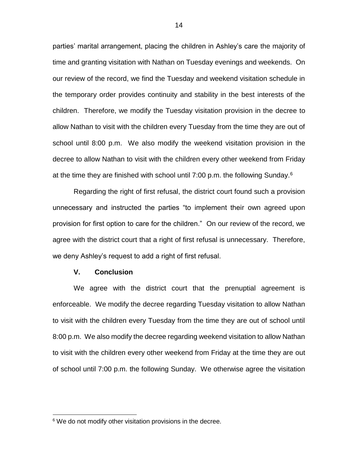parties' marital arrangement, placing the children in Ashley's care the majority of time and granting visitation with Nathan on Tuesday evenings and weekends. On our review of the record, we find the Tuesday and weekend visitation schedule in the temporary order provides continuity and stability in the best interests of the children. Therefore, we modify the Tuesday visitation provision in the decree to allow Nathan to visit with the children every Tuesday from the time they are out of school until 8:00 p.m. We also modify the weekend visitation provision in the decree to allow Nathan to visit with the children every other weekend from Friday at the time they are finished with school until 7:00 p.m. the following Sunday.<sup>6</sup>

Regarding the right of first refusal, the district court found such a provision unnecessary and instructed the parties "to implement their own agreed upon provision for first option to care for the children." On our review of the record, we agree with the district court that a right of first refusal is unnecessary. Therefore, we deny Ashley's request to add a right of first refusal.

### **V. Conclusion**

 $\overline{a}$ 

We agree with the district court that the prenuptial agreement is enforceable. We modify the decree regarding Tuesday visitation to allow Nathan to visit with the children every Tuesday from the time they are out of school until 8:00 p.m. We also modify the decree regarding weekend visitation to allow Nathan to visit with the children every other weekend from Friday at the time they are out of school until 7:00 p.m. the following Sunday. We otherwise agree the visitation

 $6$  We do not modify other visitation provisions in the decree.